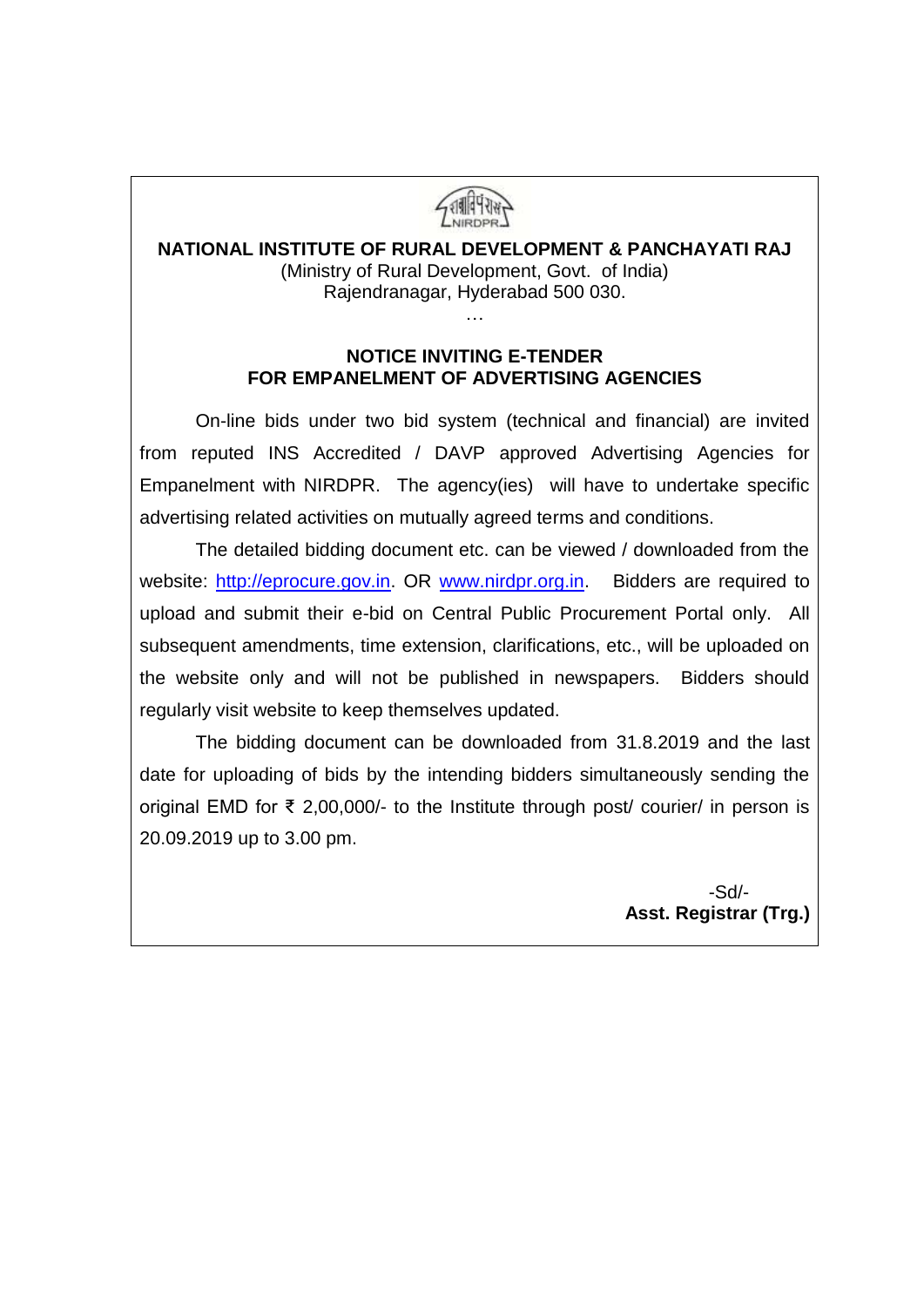

ZARRY NIRDPR.

#### **NOTICE INVITING E-TENDER FOR EMPANELMENT OF ADVERTISING AGENCIES**

On-line bids under two bid system (technical and financial) are invited from reputed INS Accredited / DAVP approved Advertising Agencies for Empanelment with NIRDPR. The agency(ies) will have to undertake specific advertising related activities on mutually agreed terms and conditions.

The detailed bidding document etc. can be viewed / downloaded from the website: [http://eprocure.gov.in.](http://eprocure.gov.in/) OR [www.nirdpr.org.in.](http://www.nirdpr.org.in/) Bidders are required to upload and submit their e-bid on Central Public Procurement Portal only. All subsequent amendments, time extension, clarifications, etc., will be uploaded on the website only and will not be published in newspapers. Bidders should regularly visit website to keep themselves updated.

The bidding document can be downloaded from 31.8.2019 and the last date for uploading of bids by the intending bidders simultaneously sending the original EMD for ₹ 2,00,000/- to the Institute through post/ courier/ in person is 20.09.2019 up to 3.00 pm.

 -Sd/-  **Asst. Registrar (Trg.)**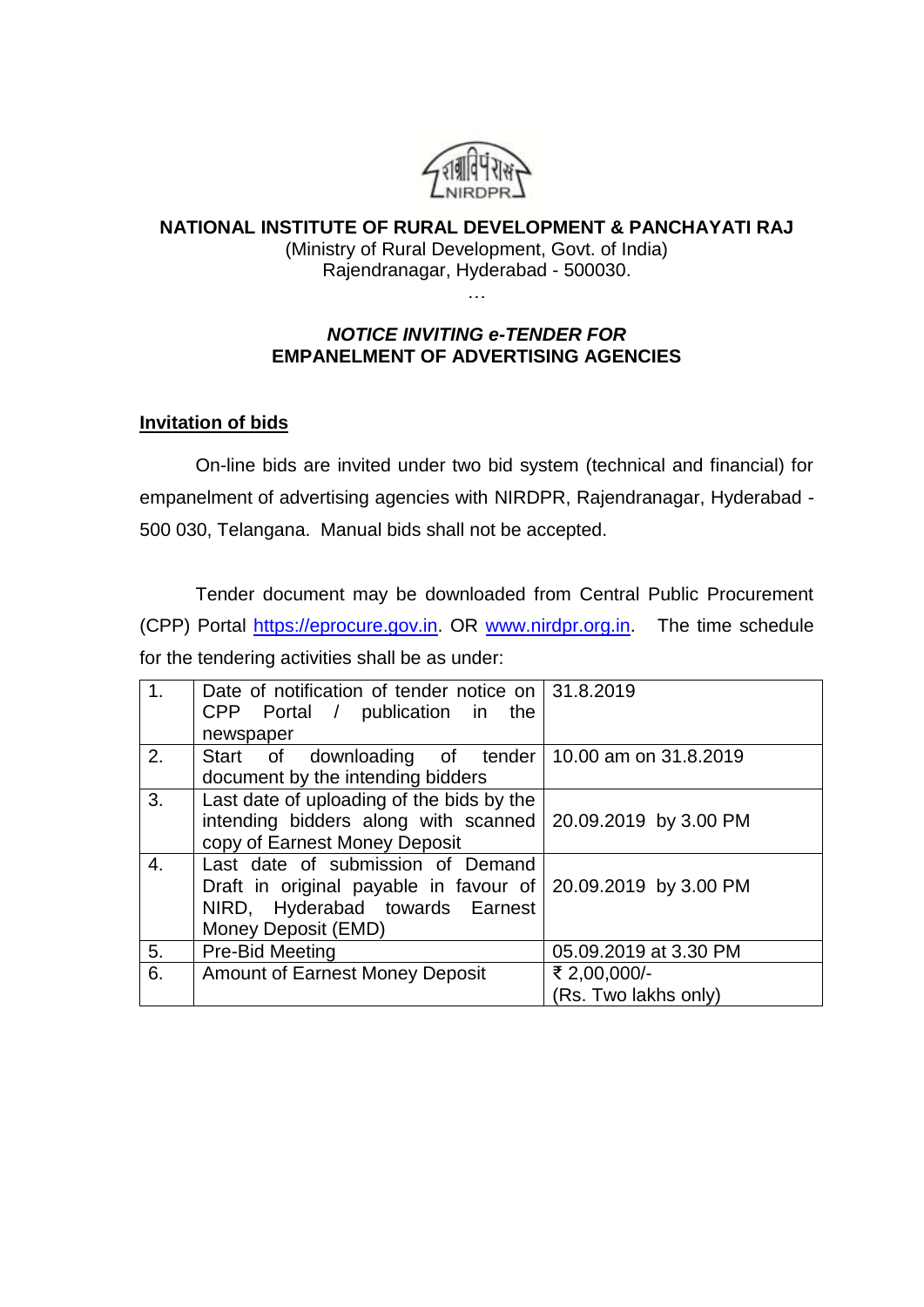

# **NATIONAL INSTITUTE OF RURAL DEVELOPMENT & PANCHAYATI RAJ**

(Ministry of Rural Development, Govt. of India) Rajendranagar, Hyderabad - 500030. …

*NOTICE INVITING e-TENDER FOR* **EMPANELMENT OF ADVERTISING AGENCIES**

#### **Invitation of bids**

On-line bids are invited under two bid system (technical and financial) for empanelment of advertising agencies with NIRDPR, Rajendranagar, Hyderabad - 500 030, Telangana. Manual bids shall not be accepted.

Tender document may be downloaded from Central Public Procurement (CPP) Portal [https://eprocure.gov.in.](https://eprocure.gov.in/) OR [www.nirdpr.org.in.](http://www.nirdpr.org.in/) The time schedule for the tendering activities shall be as under:

| 1 <sub>1</sub> | Date of notification of tender notice on $ 31.8.2019$<br>CPP Portal / publication in the |                       |
|----------------|------------------------------------------------------------------------------------------|-----------------------|
|                | newspaper                                                                                |                       |
| 2.             | Start of downloading of tender 10.00 am on 31.8.2019                                     |                       |
|                | document by the intending bidders                                                        |                       |
| 3.             | Last date of uploading of the bids by the                                                |                       |
|                | intending bidders along with scanned                                                     | 20.09.2019 by 3.00 PM |
|                | copy of Earnest Money Deposit                                                            |                       |
| 4.             | Last date of submission of Demand                                                        |                       |
|                | Draft in original payable in favour of   20.09.2019 by 3.00 PM                           |                       |
|                | NIRD, Hyderabad towards Earnest                                                          |                       |
|                | Money Deposit (EMD)                                                                      |                       |
| 5.             | Pre-Bid Meeting                                                                          | 05.09.2019 at 3.30 PM |
| 6.             | <b>Amount of Earnest Money Deposit</b>                                                   | ₹ 2,00,000/-          |
|                |                                                                                          | (Rs. Two lakhs only)  |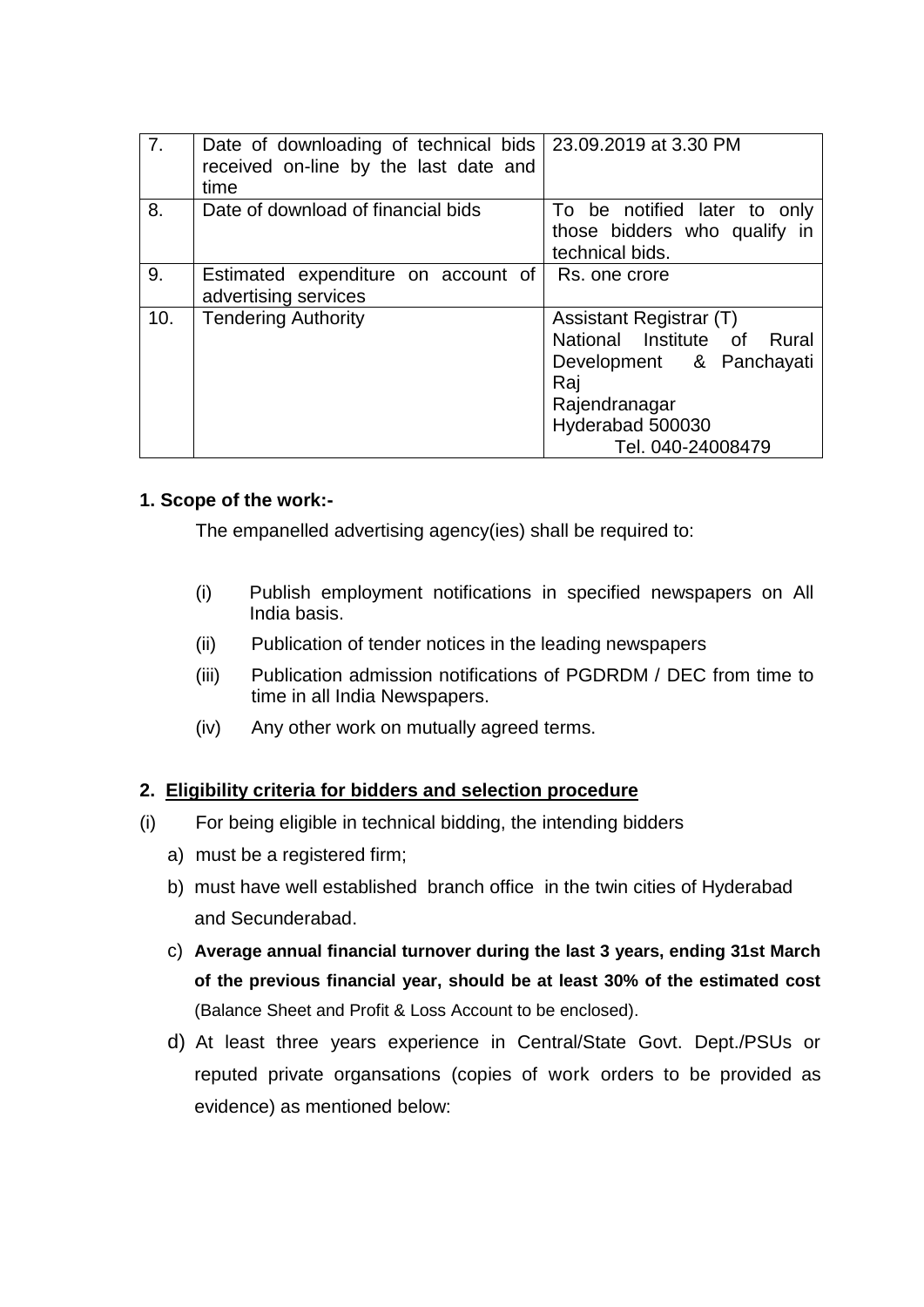| 7.  | Date of downloading of technical bids   23.09.2019 at 3.30 PM<br>received on-line by the last date and<br>time |                                                                                                                                                     |
|-----|----------------------------------------------------------------------------------------------------------------|-----------------------------------------------------------------------------------------------------------------------------------------------------|
| 8.  | Date of download of financial bids                                                                             | To be notified later to only<br>those bidders who qualify in<br>technical bids.                                                                     |
| 9.  | Estimated expenditure on account of<br>advertising services                                                    | Rs. one crore                                                                                                                                       |
| 10. | <b>Tendering Authority</b>                                                                                     | Assistant Registrar (T)<br>National Institute of Rural<br>Development & Panchayati<br>Raj<br>Rajendranagar<br>Hyderabad 500030<br>Tel. 040-24008479 |

# **1. Scope of the work:-**

The empanelled advertising agency(ies) shall be required to:

- (i) Publish employment notifications in specified newspapers on All India basis.
- (ii) Publication of tender notices in the leading newspapers
- (iii) Publication admission notifications of PGDRDM / DEC from time to time in all India Newspapers.
- (iv) Any other work on mutually agreed terms.

# **2. Eligibility criteria for bidders and selection procedure**

- (i) For being eligible in technical bidding, the intending bidders
	- a) must be a registered firm;
	- b) must have well established branch office in the twin cities of Hyderabad and Secunderabad.
	- c) **Average annual financial turnover during the last 3 years, ending 31st March of the previous financial year, should be at least 30% of the estimated cost** (Balance Sheet and Profit & Loss Account to be enclosed).
	- d) At least three years experience in Central/State Govt. Dept./PSUs or reputed private organsations (copies of work orders to be provided as evidence) as mentioned below: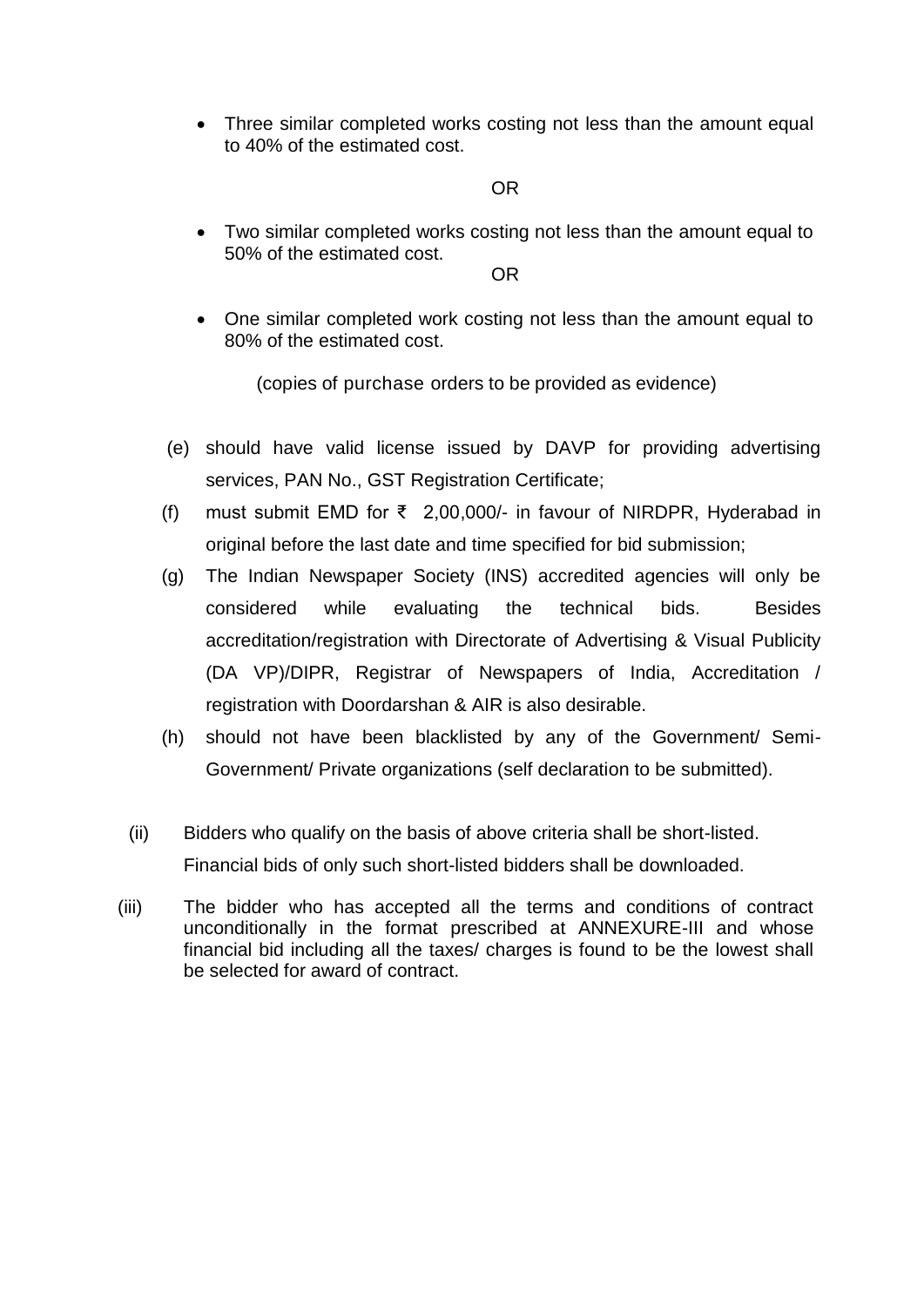• Three similar completed works costing not less than the amount equal to 40% of the estimated cost.

#### OR

 Two similar completed works costing not less than the amount equal to 50% of the estimated cost.

OR

 One similar completed work costing not less than the amount equal to 80% of the estimated cost.

(copies of purchase orders to be provided as evidence)

- (e) should have valid license issued by DAVP for providing advertising services, PAN No., GST Registration Certificate;
- (f) must submit EMD for ₹ 2,00,000/- in favour of NIRDPR, Hyderabad in original before the last date and time specified for bid submission;
- (g) The Indian Newspaper Society (INS) accredited agencies will only be considered while evaluating the technical bids. Besides accreditation/registration with Directorate of Advertising & Visual Publicity (DA VP)/DIPR, Registrar of Newspapers of India, Accreditation / registration with Doordarshan & AIR is also desirable.
- (h) should not have been blacklisted by any of the Government/ Semi-Government/ Private organizations (self declaration to be submitted).
- (ii) Bidders who qualify on the basis of above criteria shall be short-listed. Financial bids of only such short-listed bidders shall be downloaded.
- (iii) The bidder who has accepted all the terms and conditions of contract unconditionally in the format prescribed at ANNEXURE-III and whose financial bid including all the taxes/ charges is found to be the lowest shall be selected for award of contract.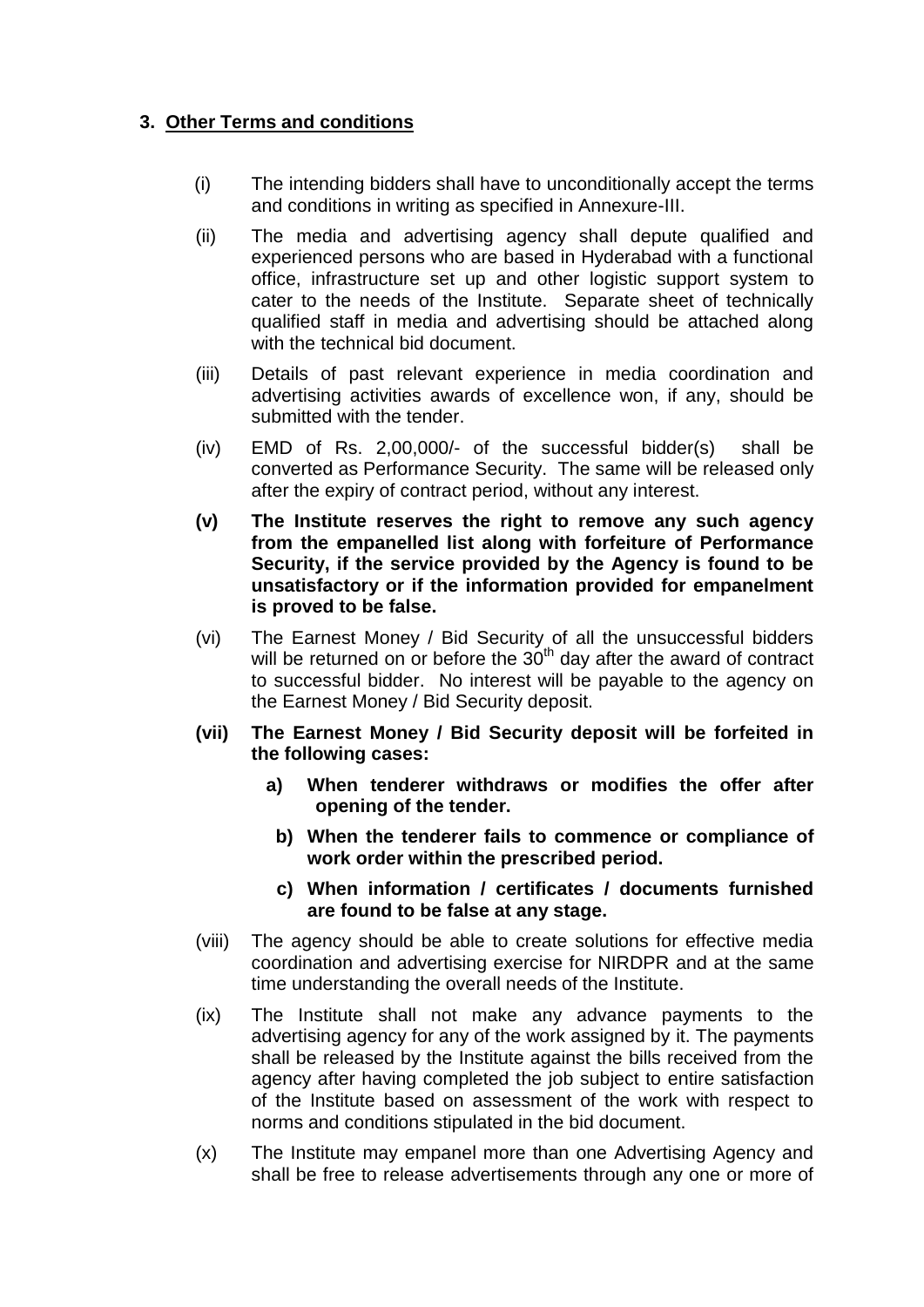# **3. Other Terms and conditions**

- (i) The intending bidders shall have to unconditionally accept the terms and conditions in writing as specified in Annexure-III.
- (ii) The media and advertising agency shall depute qualified and experienced persons who are based in Hyderabad with a functional office, infrastructure set up and other logistic support system to cater to the needs of the Institute. Separate sheet of technically qualified staff in media and advertising should be attached along with the technical bid document.
- (iii) Details of past relevant experience in media coordination and advertising activities awards of excellence won, if any, should be submitted with the tender.
- (iv) EMD of Rs. 2,00,000/- of the successful bidder(s) shall be converted as Performance Security. The same will be released only after the expiry of contract period, without any interest.
- **(v) The Institute reserves the right to remove any such agency from the empanelled list along with forfeiture of Performance Security, if the service provided by the Agency is found to be unsatisfactory or if the information provided for empanelment is proved to be false.**
- (vi) The Earnest Money / Bid Security of all the unsuccessful bidders will be returned on or before the  $30<sup>th</sup>$  day after the award of contract to successful bidder. No interest will be payable to the agency on the Earnest Money / Bid Security deposit.
- **(vii) The Earnest Money / Bid Security deposit will be forfeited in the following cases:**
	- **a) When tenderer withdraws or modifies the offer after opening of the tender.**
		- **b) When the tenderer fails to commence or compliance of work order within the prescribed period.**
		- **c) When information / certificates / documents furnished are found to be false at any stage.**
- (viii) The agency should be able to create solutions for effective media coordination and advertising exercise for NIRDPR and at the same time understanding the overall needs of the Institute.
- (ix) The Institute shall not make any advance payments to the advertising agency for any of the work assigned by it. The payments shall be released by the Institute against the bills received from the agency after having completed the job subject to entire satisfaction of the Institute based on assessment of the work with respect to norms and conditions stipulated in the bid document.
- (x) The Institute may empanel more than one Advertising Agency and shall be free to release advertisements through any one or more of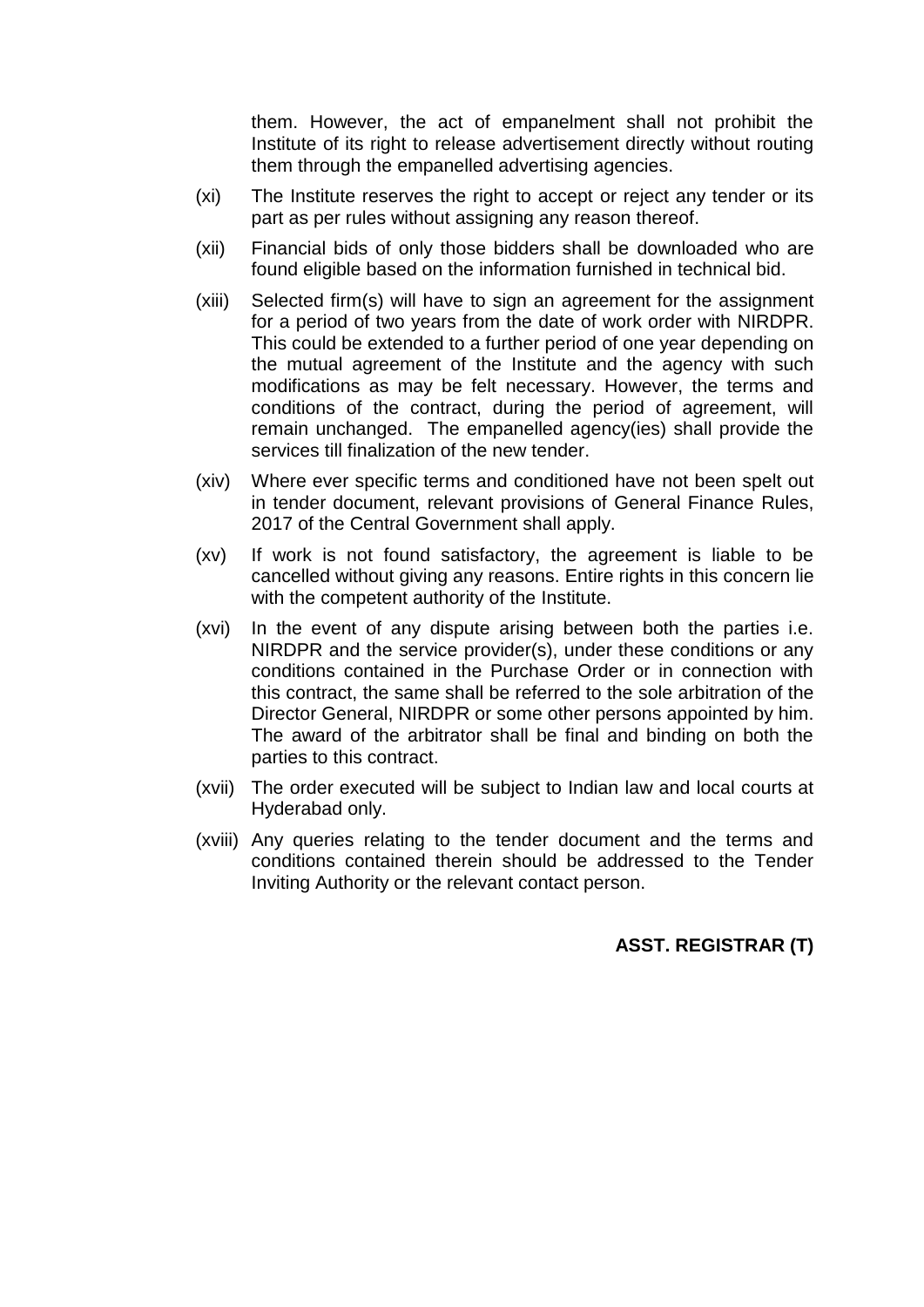them. However, the act of empanelment shall not prohibit the Institute of its right to release advertisement directly without routing them through the empanelled advertising agencies.

- (xi) The Institute reserves the right to accept or reject any tender or its part as per rules without assigning any reason thereof.
- (xii) Financial bids of only those bidders shall be downloaded who are found eligible based on the information furnished in technical bid.
- (xiii) Selected firm(s) will have to sign an agreement for the assignment for a period of two years from the date of work order with NIRDPR. This could be extended to a further period of one year depending on the mutual agreement of the Institute and the agency with such modifications as may be felt necessary. However, the terms and conditions of the contract, during the period of agreement, will remain unchanged. The empanelled agency(ies) shall provide the services till finalization of the new tender.
- (xiv) Where ever specific terms and conditioned have not been spelt out in tender document, relevant provisions of General Finance Rules, 2017 of the Central Government shall apply.
- (xv) If work is not found satisfactory, the agreement is liable to be cancelled without giving any reasons. Entire rights in this concern lie with the competent authority of the Institute.
- (xvi) In the event of any dispute arising between both the parties i.e. NIRDPR and the service provider(s), under these conditions or any conditions contained in the Purchase Order or in connection with this contract, the same shall be referred to the sole arbitration of the Director General, NIRDPR or some other persons appointed by him. The award of the arbitrator shall be final and binding on both the parties to this contract.
- (xvii) The order executed will be subject to Indian law and local courts at Hyderabad only.
- (xviii) Any queries relating to the tender document and the terms and conditions contained therein should be addressed to the Tender Inviting Authority or the relevant contact person.

# **ASST. REGISTRAR (T)**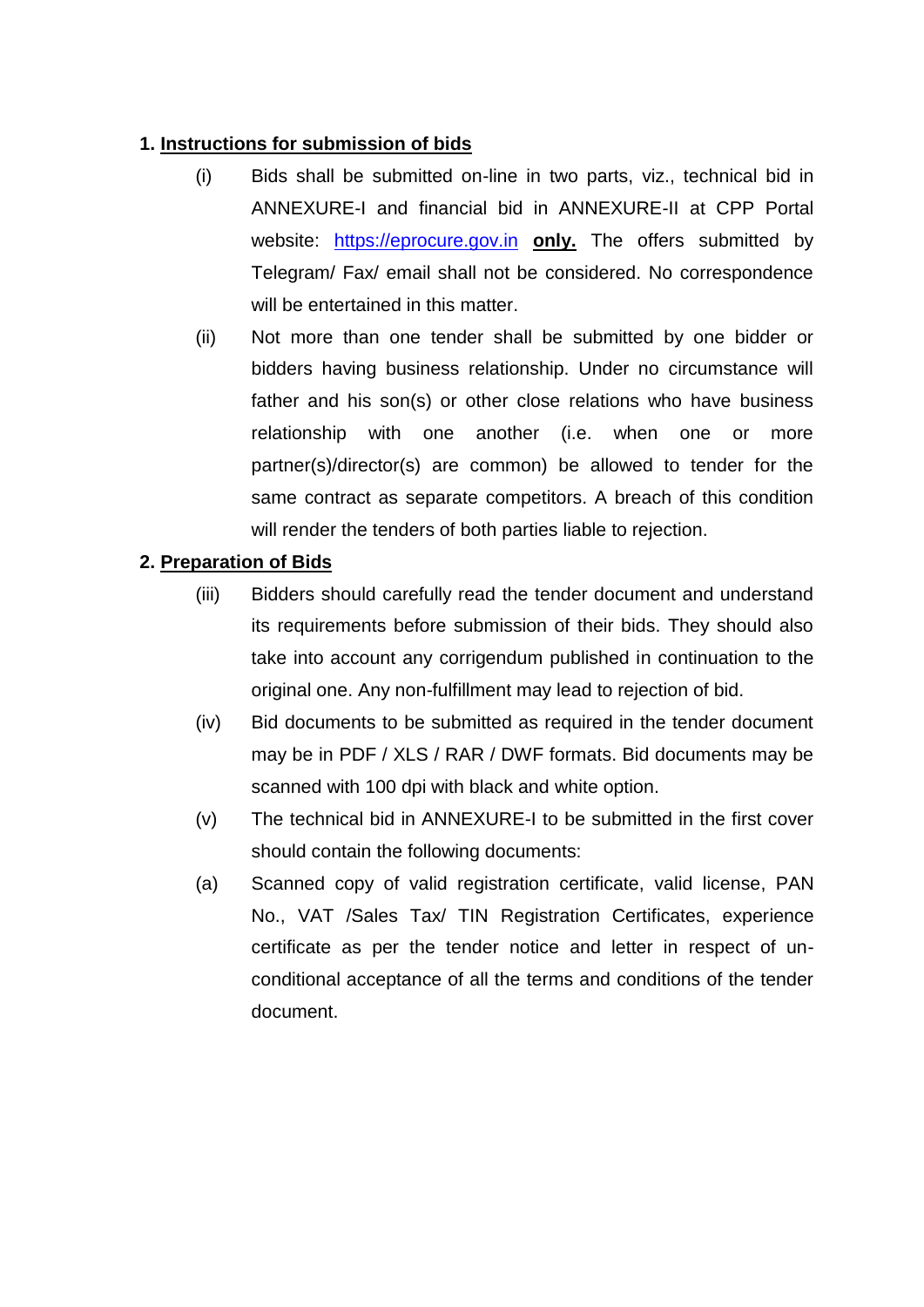# **1. Instructions for submission of bids**

- (i) Bids shall be submitted on-line in two parts, viz., technical bid in ANNEXURE-I and financial bid in ANNEXURE-II at CPP Portal website: [https://eprocure.gov.in](https://eprocure.gov.in/) **only.** The offers submitted by Telegram/ Fax/ email shall not be considered. No correspondence will be entertained in this matter.
- (ii) Not more than one tender shall be submitted by one bidder or bidders having business relationship. Under no circumstance will father and his son(s) or other close relations who have business relationship with one another (i.e. when one or more partner(s)/director(s) are common) be allowed to tender for the same contract as separate competitors. A breach of this condition will render the tenders of both parties liable to rejection.

# **2. Preparation of Bids**

- (iii) Bidders should carefully read the tender document and understand its requirements before submission of their bids. They should also take into account any corrigendum published in continuation to the original one. Any non-fulfillment may lead to rejection of bid.
- (iv) Bid documents to be submitted as required in the tender document may be in PDF / XLS / RAR / DWF formats. Bid documents may be scanned with 100 dpi with black and white option.
- (v) The technical bid in ANNEXURE-I to be submitted in the first cover should contain the following documents:
- (a) Scanned copy of valid registration certificate, valid license, PAN No., VAT /Sales Tax/ TIN Registration Certificates, experience certificate as per the tender notice and letter in respect of unconditional acceptance of all the terms and conditions of the tender document.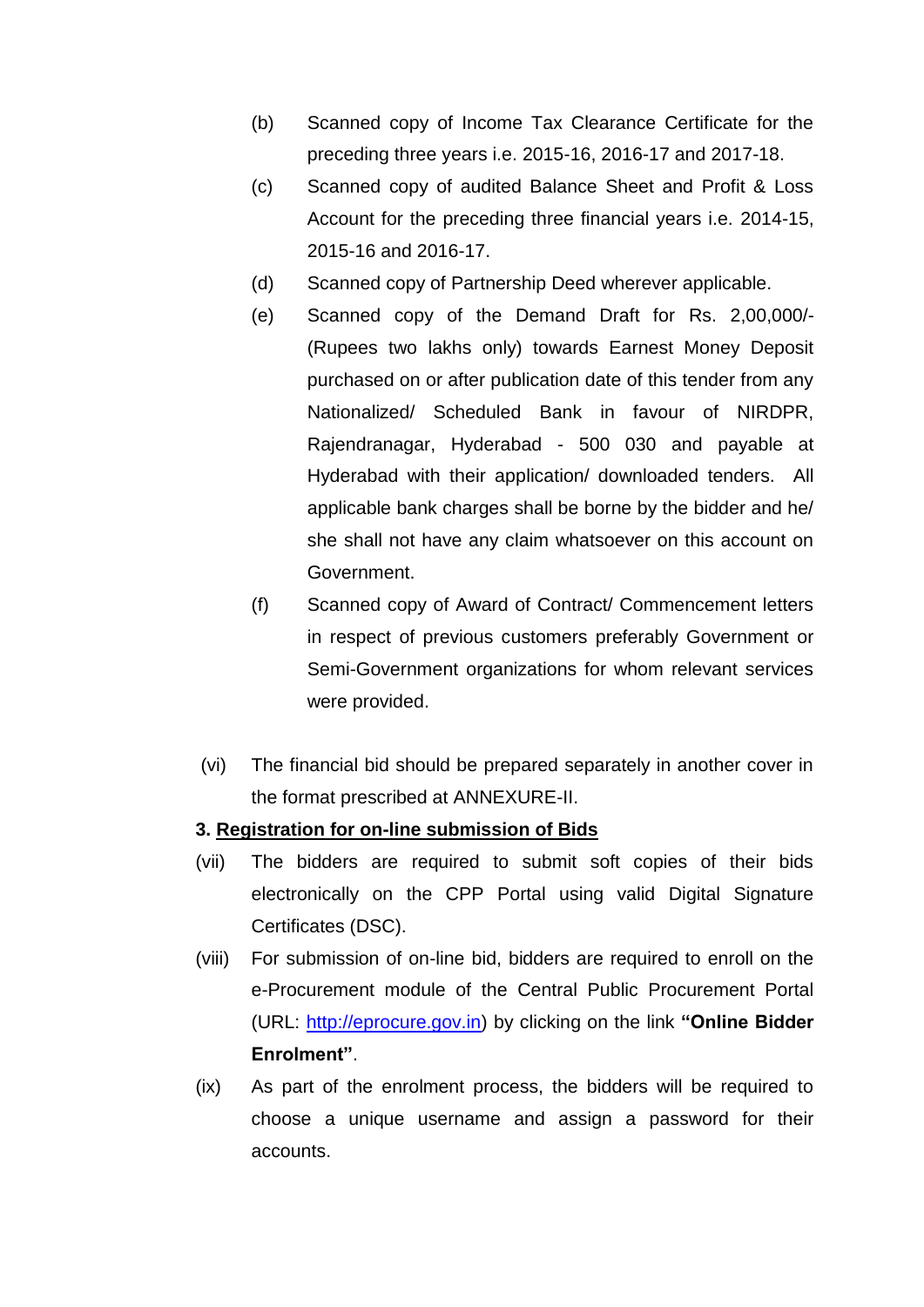- (b) Scanned copy of Income Tax Clearance Certificate for the preceding three years i.e. 2015-16, 2016-17 and 2017-18.
- (c) Scanned copy of audited Balance Sheet and Profit & Loss Account for the preceding three financial years i.e. 2014-15, 2015-16 and 2016-17.
- (d) Scanned copy of Partnership Deed wherever applicable.
- (e) Scanned copy of the Demand Draft for Rs. 2,00,000/- (Rupees two lakhs only) towards Earnest Money Deposit purchased on or after publication date of this tender from any Nationalized/ Scheduled Bank in favour of NIRDPR, Rajendranagar, Hyderabad - 500 030 and payable at Hyderabad with their application/ downloaded tenders. All applicable bank charges shall be borne by the bidder and he/ she shall not have any claim whatsoever on this account on Government.
- (f) Scanned copy of Award of Contract/ Commencement letters in respect of previous customers preferably Government or Semi-Government organizations for whom relevant services were provided.
- (vi) The financial bid should be prepared separately in another cover in the format prescribed at ANNEXURE-II.

# **3. Registration for on-line submission of Bids**

- (vii) The bidders are required to submit soft copies of their bids electronically on the CPP Portal using valid Digital Signature Certificates (DSC).
- (viii) For submission of on-line bid, bidders are required to enroll on the e-Procurement module of the Central Public Procurement Portal (URL: [http://eprocure.gov.in\)](http://eprocure.gov.in/eprocure/app) by clicking on the link **"Online Bidder Enrolment"**.
- (ix) As part of the enrolment process, the bidders will be required to choose a unique username and assign a password for their accounts.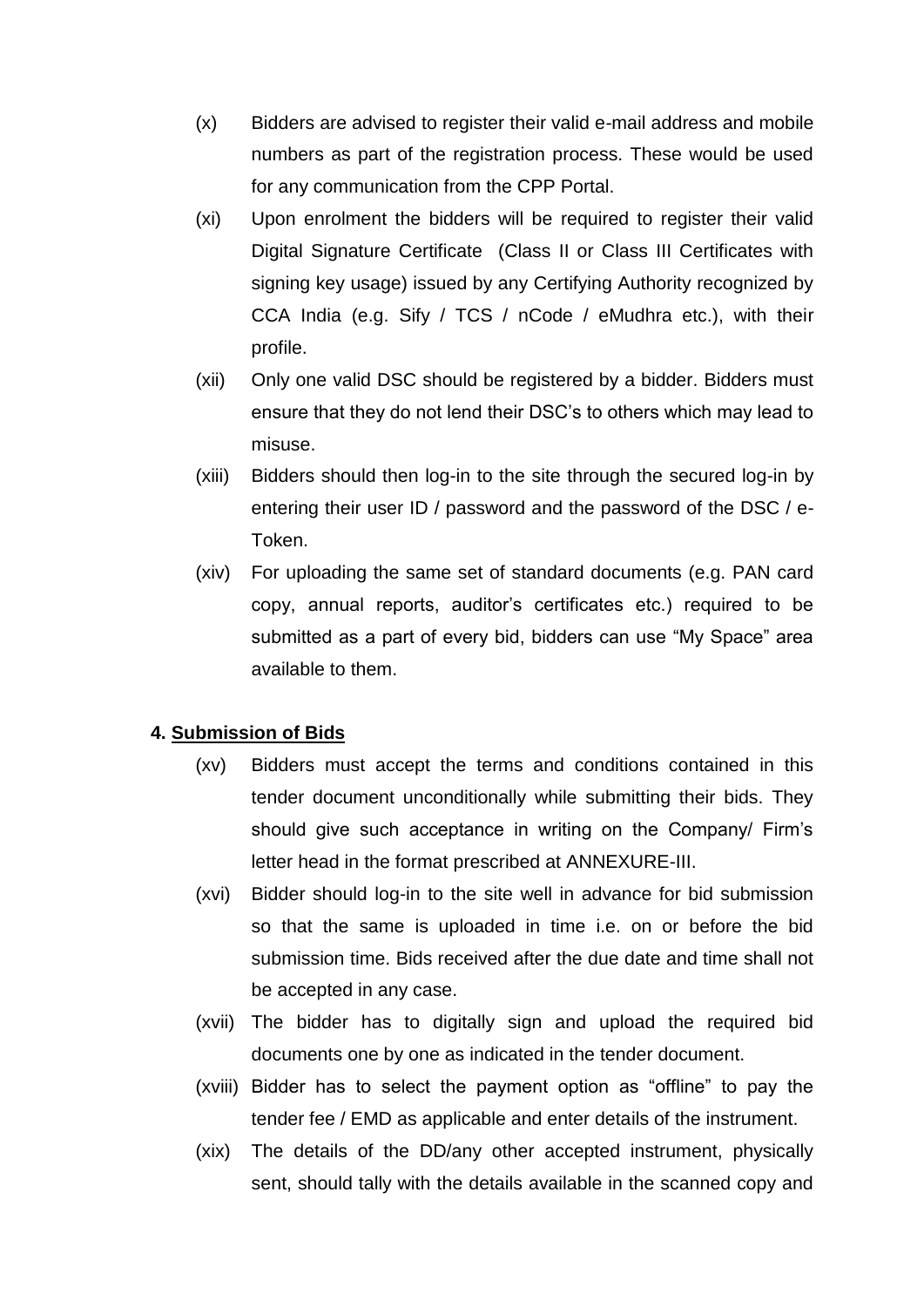- (x) Bidders are advised to register their valid e-mail address and mobile numbers as part of the registration process. These would be used for any communication from the CPP Portal.
- (xi) Upon enrolment the bidders will be required to register their valid Digital Signature Certificate (Class II or Class III Certificates with signing key usage) issued by any Certifying Authority recognized by CCA India (e.g. Sify / TCS / nCode / eMudhra etc.), with their profile.
- (xii) Only one valid DSC should be registered by a bidder. Bidders must ensure that they do not lend their DSC's to others which may lead to misuse.
- (xiii) Bidders should then log-in to the site through the secured log-in by entering their user ID / password and the password of the DSC / e-Token.
- (xiv) For uploading the same set of standard documents (e.g. PAN card copy, annual reports, auditor's certificates etc.) required to be submitted as a part of every bid, bidders can use "My Space" area available to them.

# **4. Submission of Bids**

- (xv) Bidders must accept the terms and conditions contained in this tender document unconditionally while submitting their bids. They should give such acceptance in writing on the Company/ Firm's letter head in the format prescribed at ANNEXURE-III.
- (xvi) Bidder should log-in to the site well in advance for bid submission so that the same is uploaded in time i.e. on or before the bid submission time. Bids received after the due date and time shall not be accepted in any case.
- (xvii) The bidder has to digitally sign and upload the required bid documents one by one as indicated in the tender document.
- (xviii) Bidder has to select the payment option as "offline" to pay the tender fee / EMD as applicable and enter details of the instrument.
- (xix) The details of the DD/any other accepted instrument, physically sent, should tally with the details available in the scanned copy and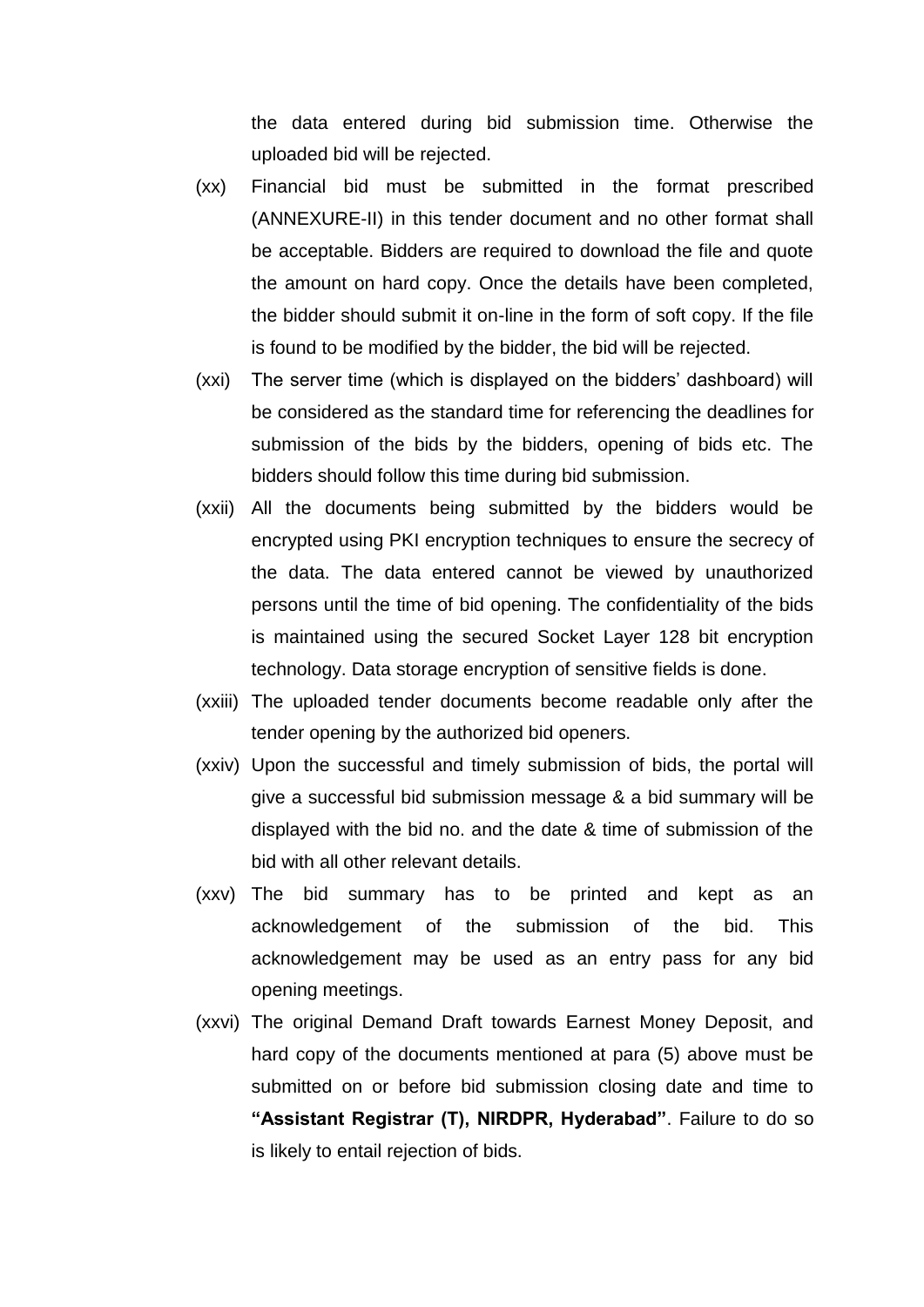the data entered during bid submission time. Otherwise the uploaded bid will be rejected.

- (xx) Financial bid must be submitted in the format prescribed (ANNEXURE-II) in this tender document and no other format shall be acceptable. Bidders are required to download the file and quote the amount on hard copy. Once the details have been completed, the bidder should submit it on-line in the form of soft copy. If the file is found to be modified by the bidder, the bid will be rejected.
- (xxi) The server time (which is displayed on the bidders' dashboard) will be considered as the standard time for referencing the deadlines for submission of the bids by the bidders, opening of bids etc. The bidders should follow this time during bid submission.
- (xxii) All the documents being submitted by the bidders would be encrypted using PKI encryption techniques to ensure the secrecy of the data. The data entered cannot be viewed by unauthorized persons until the time of bid opening. The confidentiality of the bids is maintained using the secured Socket Layer 128 bit encryption technology. Data storage encryption of sensitive fields is done.
- (xxiii) The uploaded tender documents become readable only after the tender opening by the authorized bid openers.
- (xxiv) Upon the successful and timely submission of bids, the portal will give a successful bid submission message & a bid summary will be displayed with the bid no. and the date & time of submission of the bid with all other relevant details.
- (xxv) The bid summary has to be printed and kept as an acknowledgement of the submission of the bid. This acknowledgement may be used as an entry pass for any bid opening meetings.
- (xxvi) The original Demand Draft towards Earnest Money Deposit, and hard copy of the documents mentioned at para (5) above must be submitted on or before bid submission closing date and time to **"Assistant Registrar (T), NIRDPR, Hyderabad"**. Failure to do so is likely to entail rejection of bids.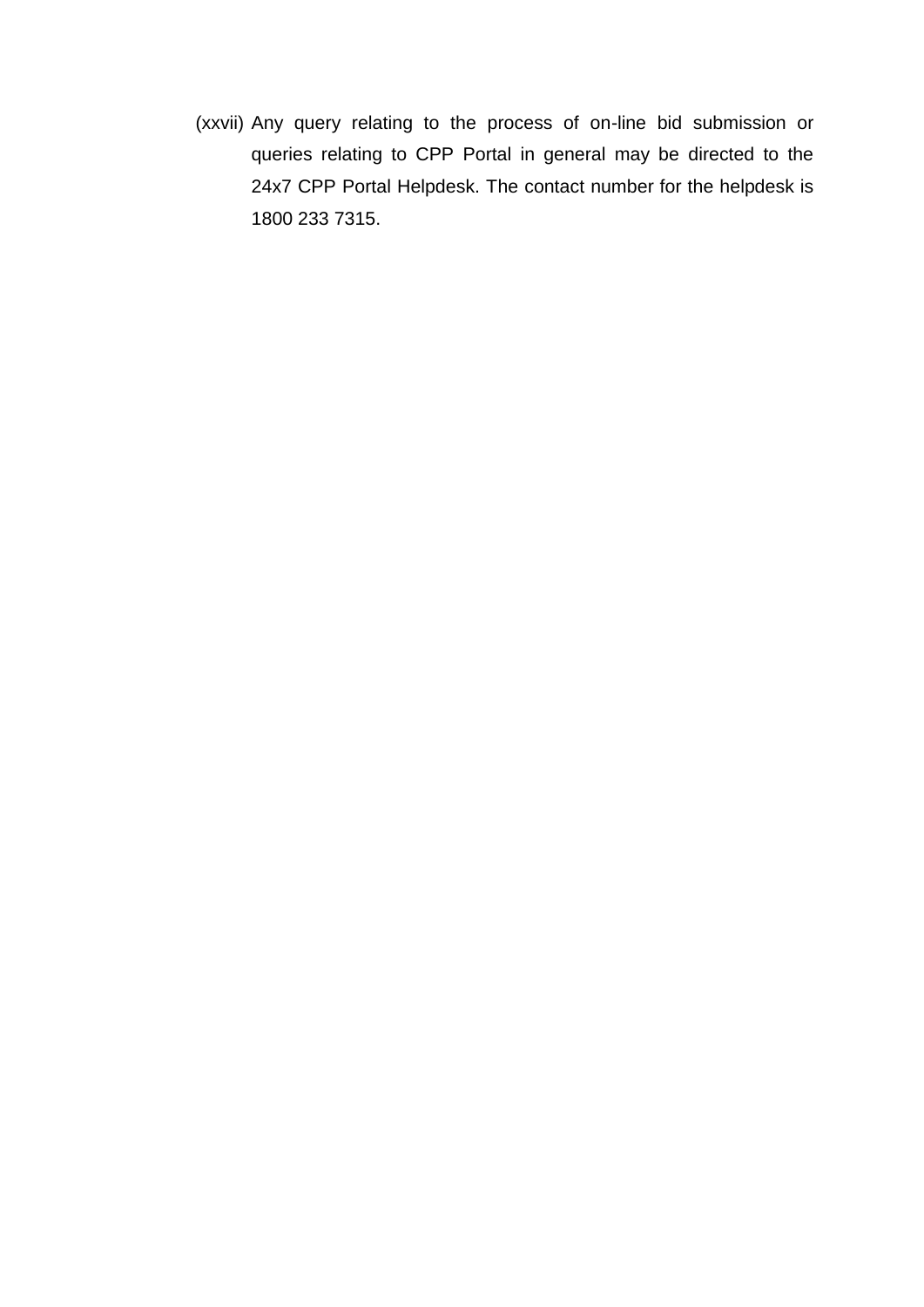(xxvii) Any query relating to the process of on-line bid submission or queries relating to CPP Portal in general may be directed to the 24x7 CPP Portal Helpdesk. The contact number for the helpdesk is 1800 233 7315.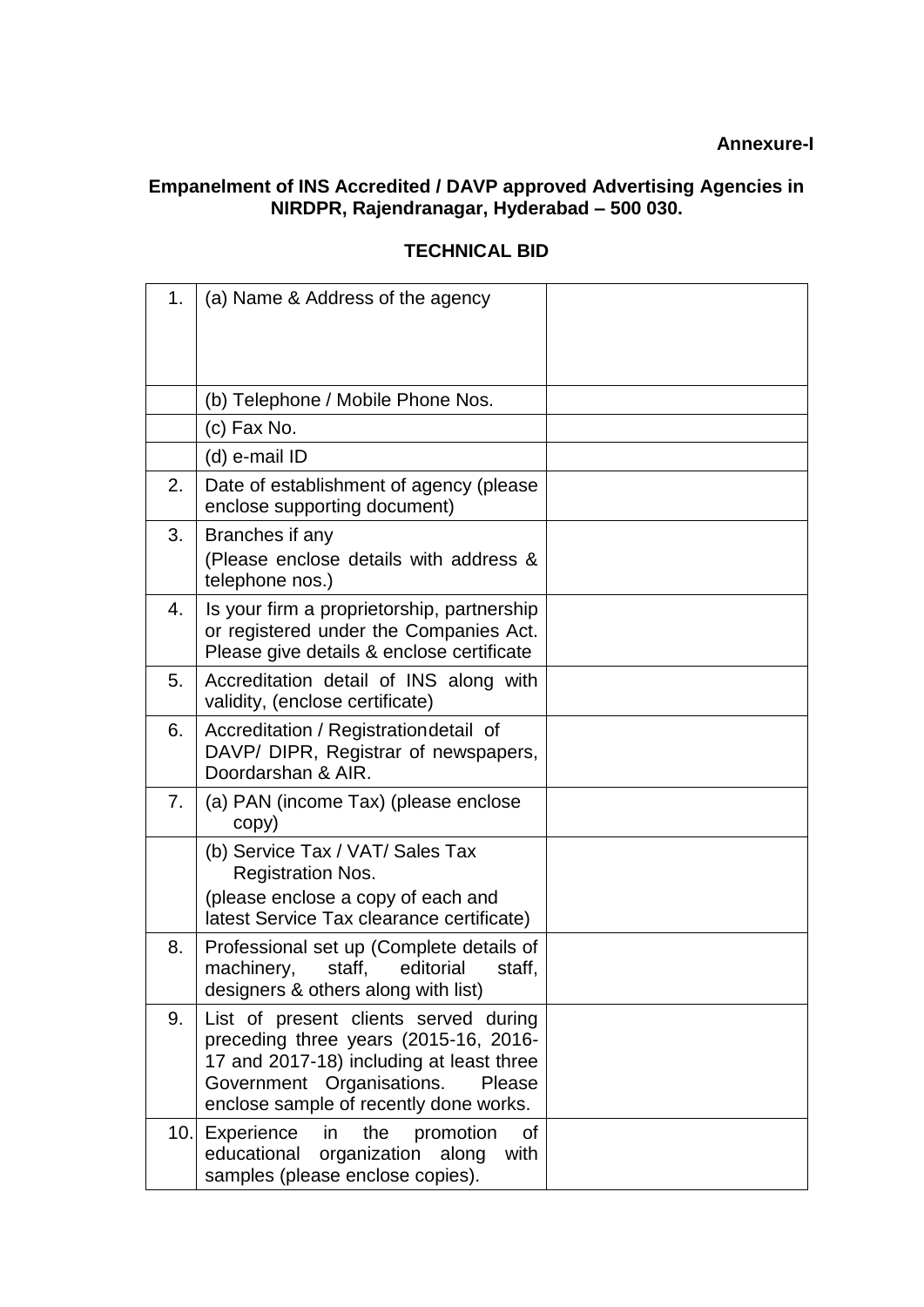#### **Annexure-I**

# **Empanelment of INS Accredited / DAVP approved Advertising Agencies in NIRDPR, Rajendranagar, Hyderabad – 500 030.**

| 1.   | (a) Name & Address of the agency                                                                                                                                                                            |  |
|------|-------------------------------------------------------------------------------------------------------------------------------------------------------------------------------------------------------------|--|
|      | (b) Telephone / Mobile Phone Nos.                                                                                                                                                                           |  |
|      | (c) Fax No.                                                                                                                                                                                                 |  |
|      | (d) e-mail ID                                                                                                                                                                                               |  |
| 2.   | Date of establishment of agency (please<br>enclose supporting document)                                                                                                                                     |  |
| 3.   | Branches if any<br>(Please enclose details with address &<br>telephone nos.)                                                                                                                                |  |
| 4.   | Is your firm a proprietorship, partnership<br>or registered under the Companies Act.<br>Please give details & enclose certificate                                                                           |  |
| 5.   | Accreditation detail of INS along with<br>validity, (enclose certificate)                                                                                                                                   |  |
| 6.   | Accreditation / Registration detail of<br>DAVP/ DIPR, Registrar of newspapers,<br>Doordarshan & AIR.                                                                                                        |  |
| 7.   | (a) PAN (income Tax) (please enclose<br>copy)                                                                                                                                                               |  |
|      | (b) Service Tax / VAT/ Sales Tax<br><b>Registration Nos.</b>                                                                                                                                                |  |
|      | (please enclose a copy of each and<br>latest Service Tax clearance certificate)                                                                                                                             |  |
| 8.   | Professional set up (Complete details of<br>machinery,<br>editorial<br>staff,<br>staff,<br>designers & others along with list)                                                                              |  |
| 9.   | List of present clients served during<br>preceding three years (2015-16, 2016-<br>17 and 2017-18) including at least three<br>Government Organisations.<br>Please<br>enclose sample of recently done works. |  |
| 10.1 | Experience<br>in.<br>the<br>promotion<br>οf<br>educational<br>organization<br>along<br>with<br>samples (please enclose copies).                                                                             |  |

# **TECHNICAL BID**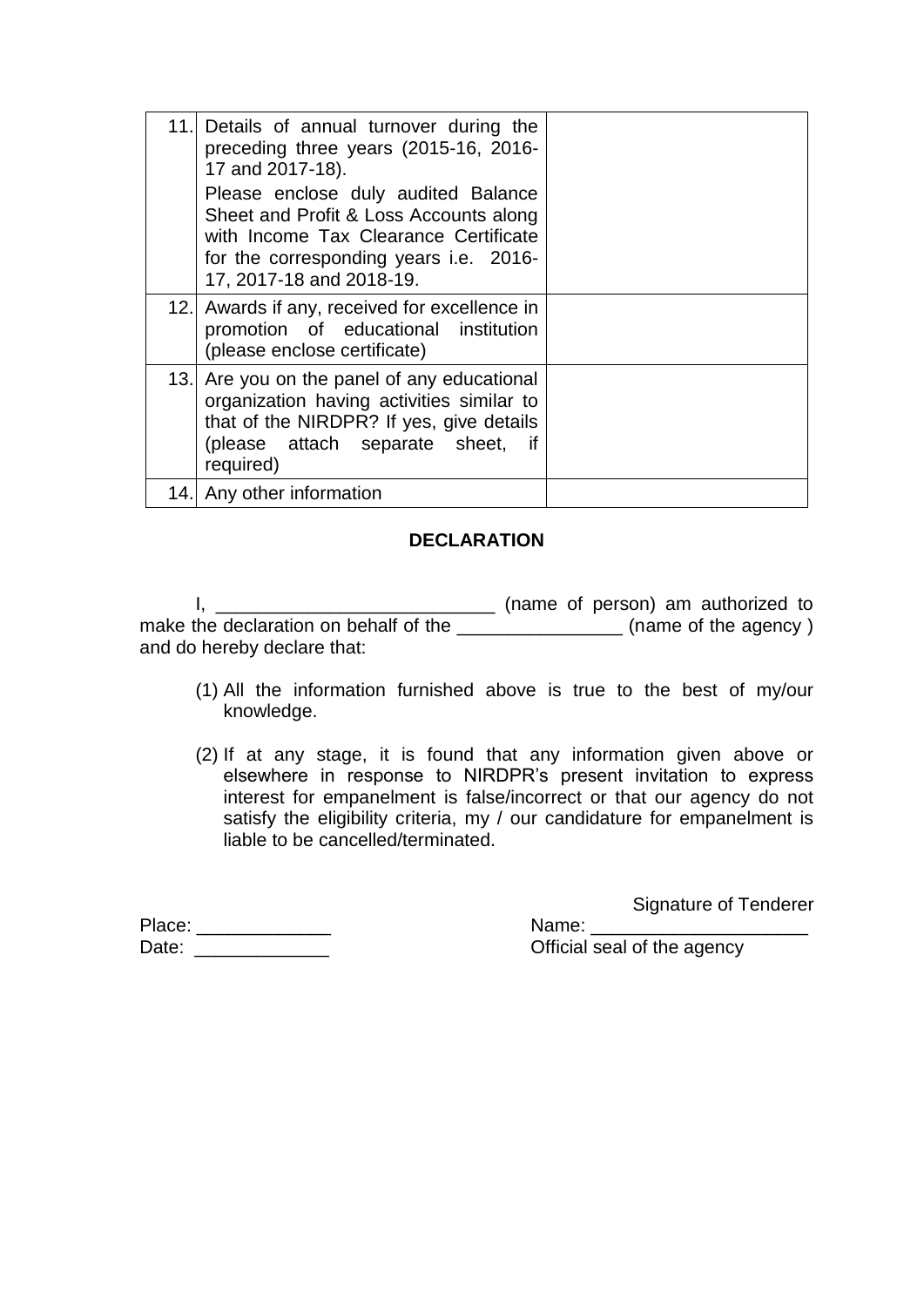| 11.I | Details of annual turnover during the<br>preceding three years (2015-16, 2016-<br>17 and 2017-18).<br>Please enclose duly audited Balance<br>Sheet and Profit & Loss Accounts along<br>with Income Tax Clearance Certificate<br>for the corresponding years i.e. 2016-<br>17, 2017-18 and 2018-19. |  |
|------|----------------------------------------------------------------------------------------------------------------------------------------------------------------------------------------------------------------------------------------------------------------------------------------------------|--|
|      | 12. Awards if any, received for excellence in<br>promotion of educational institution<br>(please enclose certificate)                                                                                                                                                                              |  |
| 13.I | Are you on the panel of any educational<br>organization having activities similar to<br>that of the NIRDPR? If yes, give details<br>(please attach separate sheet, if<br>required)                                                                                                                 |  |
|      | 14. Any other information                                                                                                                                                                                                                                                                          |  |

# **DECLARATION**

I, \_\_\_\_\_\_\_\_\_\_\_\_\_\_\_\_\_\_\_\_\_\_\_\_\_\_\_\_\_\_\_\_\_\_ (name of person) am authorized to make the declaration on behalf of the \_\_\_\_\_\_\_\_\_\_\_\_\_\_\_\_\_\_\_(name of the agency) and do hereby declare that:

- (1) All the information furnished above is true to the best of my/our knowledge.
- (2) If at any stage, it is found that any information given above or elsewhere in response to NIRDPR's present invitation to express interest for empanelment is false/incorrect or that our agency do not satisfy the eligibility criteria, my / our candidature for empanelment is liable to be cancelled/terminated.

Signature of Tenderer

Place: \_\_\_\_\_\_\_\_\_\_\_\_\_ Name: \_\_\_\_\_\_\_\_\_\_\_\_\_\_\_\_\_\_\_\_\_ Date: \_\_\_\_\_\_\_\_\_\_\_\_\_ Official seal of the agency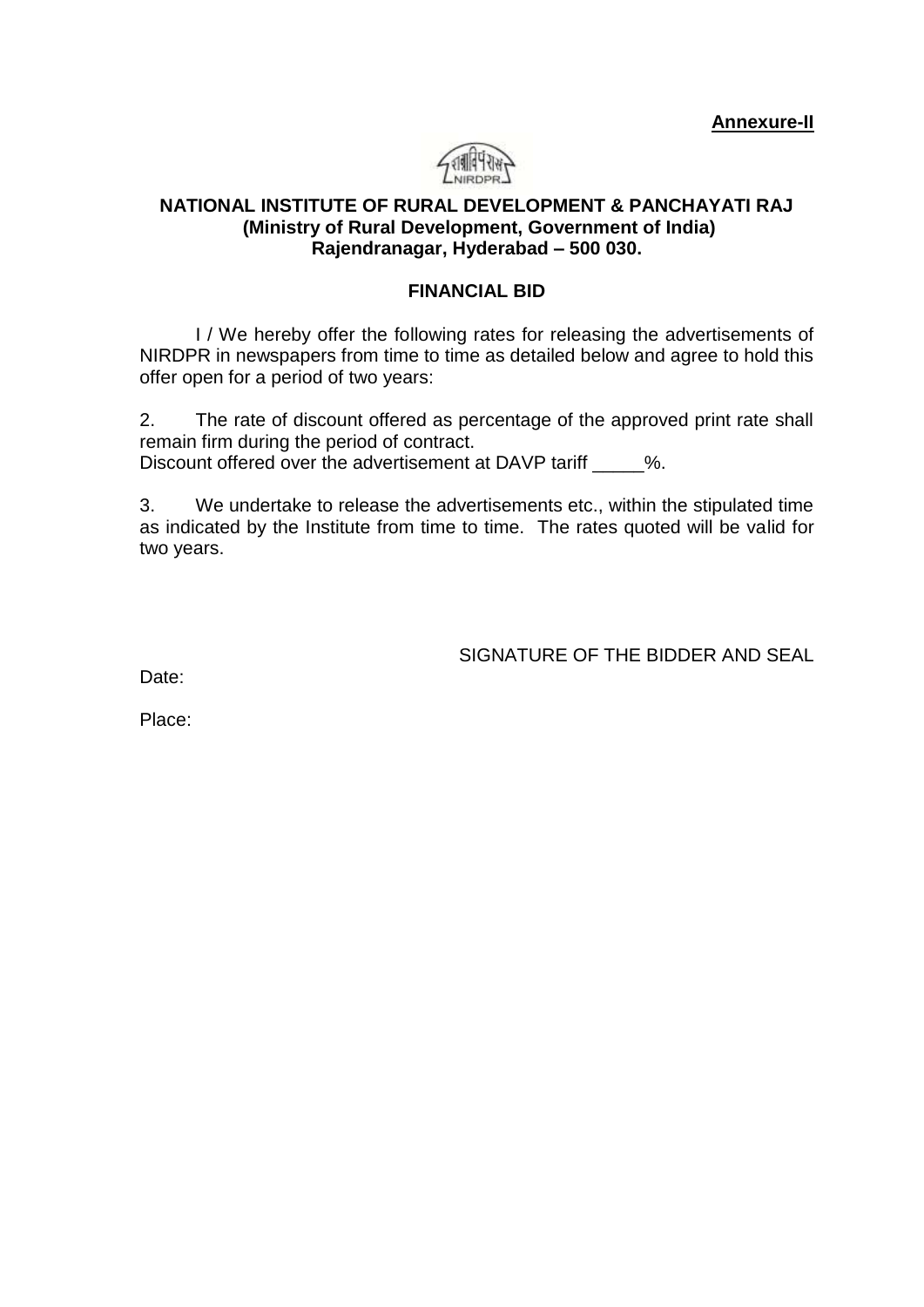**Annexure-II**



# **NATIONAL INSTITUTE OF RURAL DEVELOPMENT & PANCHAYATI RAJ (Ministry of Rural Development, Government of India) Rajendranagar, Hyderabad – 500 030.**

### **FINANCIAL BID**

I / We hereby offer the following rates for releasing the advertisements of NIRDPR in newspapers from time to time as detailed below and agree to hold this offer open for a period of two years:

2. The rate of discount offered as percentage of the approved print rate shall remain firm during the period of contract.

Discount offered over the advertisement at DAVP tariff  $\sim$  %.

3. We undertake to release the advertisements etc., within the stipulated time as indicated by the Institute from time to time. The rates quoted will be valid for two years.

SIGNATURE OF THE BIDDER AND SEAL

Date:

Place: